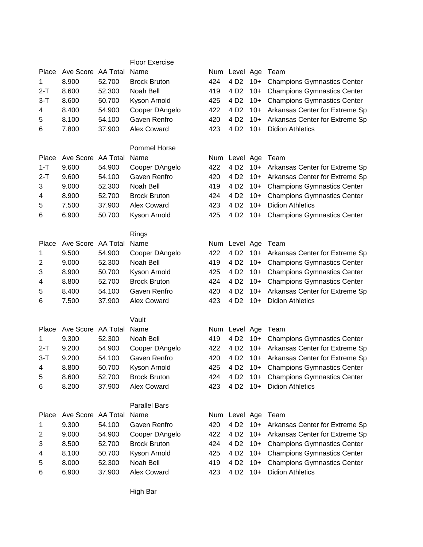|         |                         |        | <b>Floor Exercise</b> |     |                    |       |                                    |
|---------|-------------------------|--------|-----------------------|-----|--------------------|-------|------------------------------------|
| Place   | Ave Score AA Total      |        | Name                  |     | Num Level Age      |       | Team                               |
| 1       | 8.900                   | 52.700 | <b>Brock Bruton</b>   | 424 | 4 D <sub>2</sub>   | $10+$ | <b>Champions Gymnastics Center</b> |
| $2-T$   | 8.600                   | 52.300 | Noah Bell             | 419 | 4 D <sub>2</sub>   | $10+$ | <b>Champions Gymnastics Center</b> |
| $3-T$   | 8.600                   | 50.700 | Kyson Arnold          | 425 | 4 D <sub>2</sub>   | $10+$ | <b>Champions Gymnastics Center</b> |
| 4       | 8.400                   | 54.900 | Cooper DAngelo        | 422 | 4 D <sub>2</sub>   | $10+$ | Arkansas Center for Extreme Sp     |
| 5       | 8.100                   | 54.100 | Gaven Renfro          | 420 | 4 D <sub>2</sub>   | $10+$ | Arkansas Center for Extreme Sp     |
| 6       | 7.800                   | 37.900 | Alex Coward           | 423 | 4 D <sub>2</sub>   | $10+$ | <b>Didion Athletics</b>            |
|         |                         |        |                       |     |                    |       |                                    |
|         |                         |        | <b>Pommel Horse</b>   |     |                    |       |                                    |
| Place   | Ave Score AA Total Name |        |                       |     | Num Level Age Team |       |                                    |
| $1 - T$ | 9.600                   | 54.900 | Cooper DAngelo        | 422 | 4 D <sub>2</sub>   | $10+$ | Arkansas Center for Extreme Sp     |
| $2-T$   | 9.600                   | 54.100 | Gaven Renfro          | 420 | 4 D <sub>2</sub>   | $10+$ | Arkansas Center for Extreme Sp     |
| 3       | 9.000                   | 52.300 | Noah Bell             | 419 | 4 D <sub>2</sub>   | $10+$ | <b>Champions Gymnastics Center</b> |
| 4       | 8.900                   | 52.700 | <b>Brock Bruton</b>   | 424 | 4 D <sub>2</sub>   | $10+$ | <b>Champions Gymnastics Center</b> |
| 5       | 7.500                   | 37.900 | Alex Coward           | 423 | 4 D <sub>2</sub>   | $10+$ | <b>Didion Athletics</b>            |
| 6       | 6.900                   | 50.700 | Kyson Arnold          | 425 | 4 D <sub>2</sub>   | $10+$ | <b>Champions Gymnastics Center</b> |
|         |                         |        |                       |     |                    |       |                                    |
|         |                         |        | Rings                 |     |                    |       |                                    |
| Place   | Ave Score AA Total      |        | Name                  | Num | Level Age          |       | Team                               |
| 1       | 9.500                   | 54.900 | Cooper DAngelo        | 422 | 4 D <sub>2</sub>   | $10+$ | Arkansas Center for Extreme Sp     |
| 2       | 9.000                   | 52.300 | Noah Bell             | 419 | 4 D <sub>2</sub>   | $10+$ | <b>Champions Gymnastics Center</b> |
| 3       | 8.900                   | 50.700 | Kyson Arnold          | 425 | 4 D <sub>2</sub>   | $10+$ | <b>Champions Gymnastics Center</b> |
| 4       | 8.800                   | 52.700 | <b>Brock Bruton</b>   | 424 | 4 D <sub>2</sub>   | $10+$ | <b>Champions Gymnastics Center</b> |
| 5       | 8.400                   | 54.100 | Gaven Renfro          | 420 | 4 D <sub>2</sub>   | $10+$ | Arkansas Center for Extreme Sp     |
| 6       | 7.500                   | 37.900 | Alex Coward           | 423 | 4 D <sub>2</sub>   | $10+$ | <b>Didion Athletics</b>            |
|         |                         |        |                       |     |                    |       |                                    |
|         |                         |        | Vault                 |     |                    |       |                                    |
| Place   | Ave Score AA Total      |        | Name                  |     | Num Level Age      |       | Team                               |
| 1       | 9.300                   | 52.300 | Noah Bell             | 419 | 4 D <sub>2</sub>   | $10+$ | <b>Champions Gymnastics Center</b> |
| $2-T$   | 9.200                   | 54.900 | Cooper DAngelo        | 422 | 4 D <sub>2</sub>   | $10+$ | Arkansas Center for Extreme Sp     |
| $3-T$   | 9.200                   | 54.100 | Gaven Renfro          | 420 | 4 D <sub>2</sub>   | $10+$ | Arkansas Center for Extreme Sp     |
| 4       | 8.800                   | 50.700 | Kyson Arnold          | 425 | 4 D <sub>2</sub>   |       | 10+ Champions Gymnastics Center    |
| 5       | 8.600                   | 52.700 | <b>Brock Bruton</b>   | 424 | 4 D <sub>2</sub>   |       | 10+ Champions Gymnastics Center    |
| 6       | 8.200                   | 37.900 | Alex Coward           | 423 | 4 D <sub>2</sub>   | $10+$ | <b>Didion Athletics</b>            |
|         |                         |        |                       |     |                    |       |                                    |
|         |                         |        | <b>Parallel Bars</b>  |     |                    |       |                                    |
| Place   | Ave Score AA Total      |        | Name                  |     | Num Level Age Team |       |                                    |
| 1       | 9.300                   | 54.100 | Gaven Renfro          | 420 | 4 D <sub>2</sub>   |       | 10+ Arkansas Center for Extreme Sp |
| 2       | 9.000                   | 54.900 | Cooper DAngelo        | 422 | 4 D <sub>2</sub>   | $10+$ | Arkansas Center for Extreme Sp     |
| 3       | 8.500                   | 52.700 | <b>Brock Bruton</b>   | 424 | 4 D <sub>2</sub>   |       | 10+ Champions Gymnastics Center    |
| 4       | 8.100                   | 50.700 | Kyson Arnold          | 425 | 4 D <sub>2</sub>   | $10+$ | <b>Champions Gymnastics Center</b> |
| 5       | 8.000                   | 52.300 | Noah Bell             | 419 | 4 D <sub>2</sub>   | $10+$ | <b>Champions Gymnastics Center</b> |
| 6       | 6.900                   | 37.900 | Alex Coward           | 423 | 4 D <sub>2</sub>   |       | 10+ Didion Athletics               |

High Bar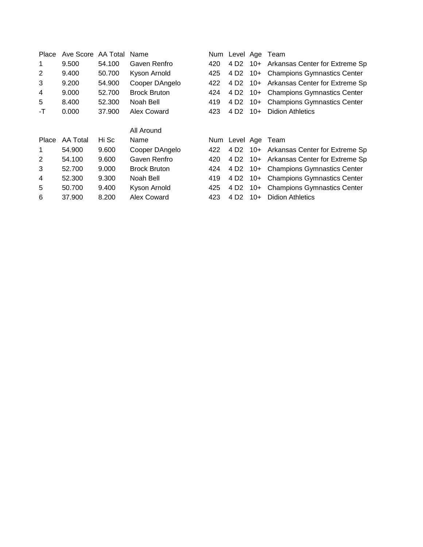| Place        | Ave Score | AA Total | Name                | Num | Level Age        |       | Team                               |  |
|--------------|-----------|----------|---------------------|-----|------------------|-------|------------------------------------|--|
| 1            | 9.500     | 54.100   | Gaven Renfro        | 420 | 4 D <sub>2</sub> |       | 10+ Arkansas Center for Extreme Sp |  |
| 2            | 9.400     | 50.700   | Kyson Arnold        | 425 | 4 D2             |       | 10+ Champions Gymnastics Center    |  |
| 3            | 9.200     | 54.900   | Cooper DAngelo      | 422 | 4 D <sub>2</sub> | 10+   | Arkansas Center for Extreme Sp     |  |
| 4            | 9.000     | 52.700   | <b>Brock Bruton</b> | 424 | 4 D <sub>2</sub> |       | 10+ Champions Gymnastics Center    |  |
| 5            | 8.400     | 52,300   | Noah Bell           | 419 | 4 D2             |       | 10+ Champions Gymnastics Center    |  |
| -T           | 0.000     | 37,900   | Alex Coward         | 423 | 4 D <sub>2</sub> | $10+$ | <b>Didion Athletics</b>            |  |
|              |           |          |                     |     |                  |       |                                    |  |
|              |           |          | All Around          |     |                  |       |                                    |  |
| <b>Place</b> | AA Total  | Hi Sc    | Name                | Num | Level Age        |       | Team                               |  |
| 1            | 54.900    | 9.600    | Cooper DAngelo      | 422 | 4 D2             |       | 10+ Arkansas Center for Extreme Sp |  |
| 2            | 54.100    | 9.600    | Gaven Renfro        | 420 | 4 D2             |       | 10+ Arkansas Center for Extreme Sp |  |
| 3            | 52.700    | 9.000    | <b>Brock Bruton</b> | 424 | 4 D <sub>2</sub> |       | 10+ Champions Gymnastics Center    |  |
| 4            | 52.300    | 9.300    | Noah Bell           | 419 | 4 D <sub>2</sub> |       | 10+ Champions Gymnastics Center    |  |
| 5            | 50.700    | 9.400    | Kyson Arnold        | 425 | 4 D2             | $10+$ | <b>Champions Gymnastics Center</b> |  |
| 6            | 37.900    | 8.200    | Alex Coward         | 423 | 4 D <sub>2</sub> | $10+$ | <b>Didion Athletics</b>            |  |